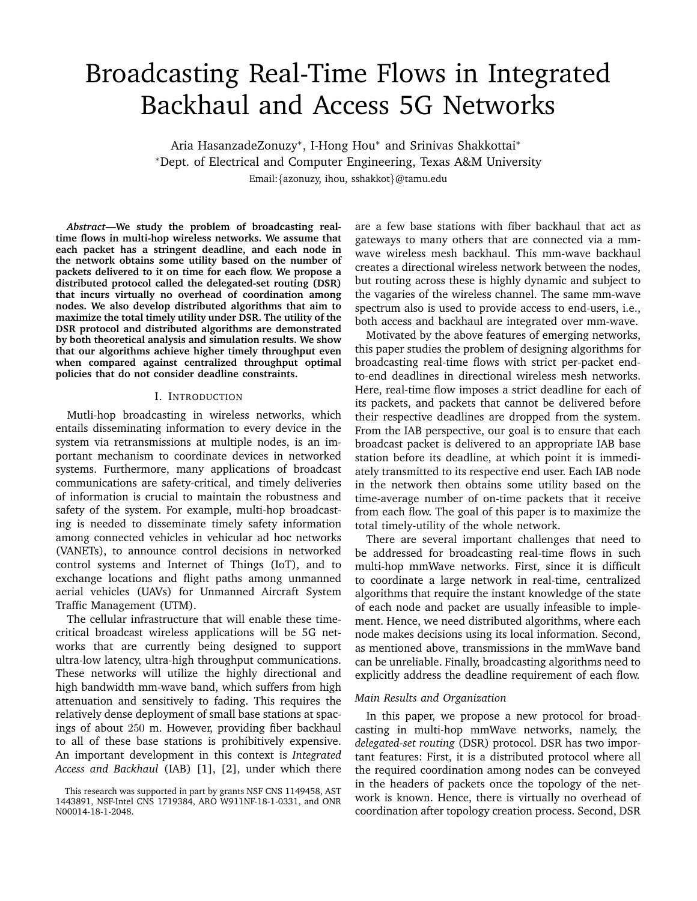# Broadcasting Real-Time Flows in Integrated Backhaul and Access 5G Networks

Aria HasanzadeZonuzy<sup>∗</sup> , I-Hong Hou<sup>∗</sup> and Srinivas Shakkottai<sup>∗</sup> <sup>∗</sup>Dept. of Electrical and Computer Engineering, Texas A&M University Email:{azonuzy, ihou, sshakkot}@tamu.edu

*Abstract***—We study the problem of broadcasting realtime flows in multi-hop wireless networks. We assume that each packet has a stringent deadline, and each node in the network obtains some utility based on the number of packets delivered to it on time for each flow. We propose a distributed protocol called the delegated-set routing (DSR) that incurs virtually no overhead of coordination among nodes. We also develop distributed algorithms that aim to maximize the total timely utility under DSR. The utility of the DSR protocol and distributed algorithms are demonstrated by both theoretical analysis and simulation results. We show that our algorithms achieve higher timely throughput even when compared against centralized throughput optimal policies that do not consider deadline constraints.**

## I. INTRODUCTION

Mutli-hop broadcasting in wireless networks, which entails disseminating information to every device in the system via retransmissions at multiple nodes, is an important mechanism to coordinate devices in networked systems. Furthermore, many applications of broadcast communications are safety-critical, and timely deliveries of information is crucial to maintain the robustness and safety of the system. For example, multi-hop broadcasting is needed to disseminate timely safety information among connected vehicles in vehicular ad hoc networks (VANETs), to announce control decisions in networked control systems and Internet of Things (IoT), and to exchange locations and flight paths among unmanned aerial vehicles (UAVs) for Unmanned Aircraft System Traffic Management (UTM).

The cellular infrastructure that will enable these timecritical broadcast wireless applications will be 5G networks that are currently being designed to support ultra-low latency, ultra-high throughput communications. These networks will utilize the highly directional and high bandwidth mm-wave band, which suffers from high attenuation and sensitively to fading. This requires the relatively dense deployment of small base stations at spacings of about 250 m. However, providing fiber backhaul to all of these base stations is prohibitively expensive. An important development in this context is *Integrated Access and Backhaul* (IAB) [1], [2], under which there

are a few base stations with fiber backhaul that act as gateways to many others that are connected via a mmwave wireless mesh backhaul. This mm-wave backhaul creates a directional wireless network between the nodes, but routing across these is highly dynamic and subject to the vagaries of the wireless channel. The same mm-wave spectrum also is used to provide access to end-users, i.e., both access and backhaul are integrated over mm-wave.

Motivated by the above features of emerging networks, this paper studies the problem of designing algorithms for broadcasting real-time flows with strict per-packet endto-end deadlines in directional wireless mesh networks. Here, real-time flow imposes a strict deadline for each of its packets, and packets that cannot be delivered before their respective deadlines are dropped from the system. From the IAB perspective, our goal is to ensure that each broadcast packet is delivered to an appropriate IAB base station before its deadline, at which point it is immediately transmitted to its respective end user. Each IAB node in the network then obtains some utility based on the time-average number of on-time packets that it receive from each flow. The goal of this paper is to maximize the total timely-utility of the whole network.

There are several important challenges that need to be addressed for broadcasting real-time flows in such multi-hop mmWave networks. First, since it is difficult to coordinate a large network in real-time, centralized algorithms that require the instant knowledge of the state of each node and packet are usually infeasible to implement. Hence, we need distributed algorithms, where each node makes decisions using its local information. Second, as mentioned above, transmissions in the mmWave band can be unreliable. Finally, broadcasting algorithms need to explicitly address the deadline requirement of each flow.

#### *Main Results and Organization*

In this paper, we propose a new protocol for broadcasting in multi-hop mmWave networks, namely, the *delegated-set routing* (DSR) protocol. DSR has two important features: First, it is a distributed protocol where all the required coordination among nodes can be conveyed in the headers of packets once the topology of the network is known. Hence, there is virtually no overhead of coordination after topology creation process. Second, DSR

This research was supported in part by grants NSF CNS 1149458, AST 1443891, NSF-Intel CNS 1719384, ARO W911NF-18-1-0331, and ONR N00014-18-1-2048.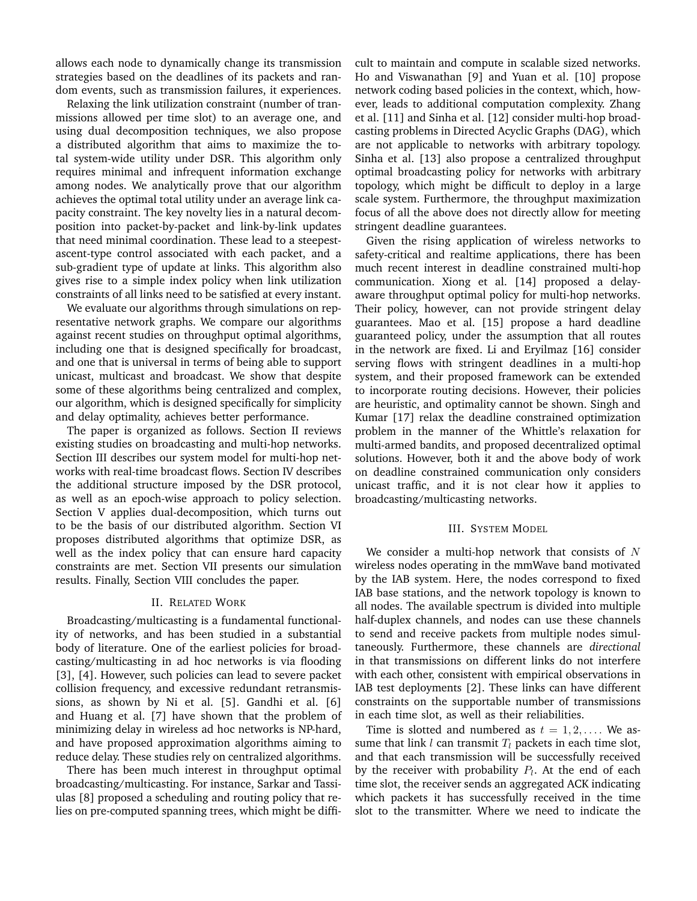allows each node to dynamically change its transmission strategies based on the deadlines of its packets and random events, such as transmission failures, it experiences.

Relaxing the link utilization constraint (number of tranmissions allowed per time slot) to an average one, and using dual decomposition techniques, we also propose a distributed algorithm that aims to maximize the total system-wide utility under DSR. This algorithm only requires minimal and infrequent information exchange among nodes. We analytically prove that our algorithm achieves the optimal total utility under an average link capacity constraint. The key novelty lies in a natural decomposition into packet-by-packet and link-by-link updates that need minimal coordination. These lead to a steepestascent-type control associated with each packet, and a sub-gradient type of update at links. This algorithm also gives rise to a simple index policy when link utilization constraints of all links need to be satisfied at every instant.

We evaluate our algorithms through simulations on representative network graphs. We compare our algorithms against recent studies on throughput optimal algorithms, including one that is designed specifically for broadcast, and one that is universal in terms of being able to support unicast, multicast and broadcast. We show that despite some of these algorithms being centralized and complex, our algorithm, which is designed specifically for simplicity and delay optimality, achieves better performance.

The paper is organized as follows. Section II reviews existing studies on broadcasting and multi-hop networks. Section III describes our system model for multi-hop networks with real-time broadcast flows. Section IV describes the additional structure imposed by the DSR protocol, as well as an epoch-wise approach to policy selection. Section V applies dual-decomposition, which turns out to be the basis of our distributed algorithm. Section VI proposes distributed algorithms that optimize DSR, as well as the index policy that can ensure hard capacity constraints are met. Section VII presents our simulation results. Finally, Section VIII concludes the paper.

## II. RELATED WORK

Broadcasting/multicasting is a fundamental functionality of networks, and has been studied in a substantial body of literature. One of the earliest policies for broadcasting/multicasting in ad hoc networks is via flooding [3], [4]. However, such policies can lead to severe packet collision frequency, and excessive redundant retransmissions, as shown by Ni et al. [5]. Gandhi et al. [6] and Huang et al. [7] have shown that the problem of minimizing delay in wireless ad hoc networks is NP-hard, and have proposed approximation algorithms aiming to reduce delay. These studies rely on centralized algorithms.

There has been much interest in throughput optimal broadcasting/multicasting. For instance, Sarkar and Tassiulas [8] proposed a scheduling and routing policy that relies on pre-computed spanning trees, which might be diffi-

cult to maintain and compute in scalable sized networks. Ho and Viswanathan [9] and Yuan et al. [10] propose network coding based policies in the context, which, however, leads to additional computation complexity. Zhang et al. [11] and Sinha et al. [12] consider multi-hop broadcasting problems in Directed Acyclic Graphs (DAG), which are not applicable to networks with arbitrary topology. Sinha et al. [13] also propose a centralized throughput optimal broadcasting policy for networks with arbitrary topology, which might be difficult to deploy in a large scale system. Furthermore, the throughput maximization focus of all the above does not directly allow for meeting stringent deadline guarantees.

Given the rising application of wireless networks to safety-critical and realtime applications, there has been much recent interest in deadline constrained multi-hop communication. Xiong et al. [14] proposed a delayaware throughput optimal policy for multi-hop networks. Their policy, however, can not provide stringent delay guarantees. Mao et al. [15] propose a hard deadline guaranteed policy, under the assumption that all routes in the network are fixed. Li and Eryilmaz [16] consider serving flows with stringent deadlines in a multi-hop system, and their proposed framework can be extended to incorporate routing decisions. However, their policies are heuristic, and optimality cannot be shown. Singh and Kumar [17] relax the deadline constrained optimization problem in the manner of the Whittle's relaxation for multi-armed bandits, and proposed decentralized optimal solutions. However, both it and the above body of work on deadline constrained communication only considers unicast traffic, and it is not clear how it applies to broadcasting/multicasting networks.

## III. SYSTEM MODEL

We consider a multi-hop network that consists of  $N$ wireless nodes operating in the mmWave band motivated by the IAB system. Here, the nodes correspond to fixed IAB base stations, and the network topology is known to all nodes. The available spectrum is divided into multiple half-duplex channels, and nodes can use these channels to send and receive packets from multiple nodes simultaneously. Furthermore, these channels are *directional* in that transmissions on different links do not interfere with each other, consistent with empirical observations in IAB test deployments [2]. These links can have different constraints on the supportable number of transmissions in each time slot, as well as their reliabilities.

Time is slotted and numbered as  $t = 1, 2, \ldots$ . We assume that link *l* can transmit  $T_l$  packets in each time slot, and that each transmission will be successfully received by the receiver with probability  $P_l.$  At the end of each time slot, the receiver sends an aggregated ACK indicating which packets it has successfully received in the time slot to the transmitter. Where we need to indicate the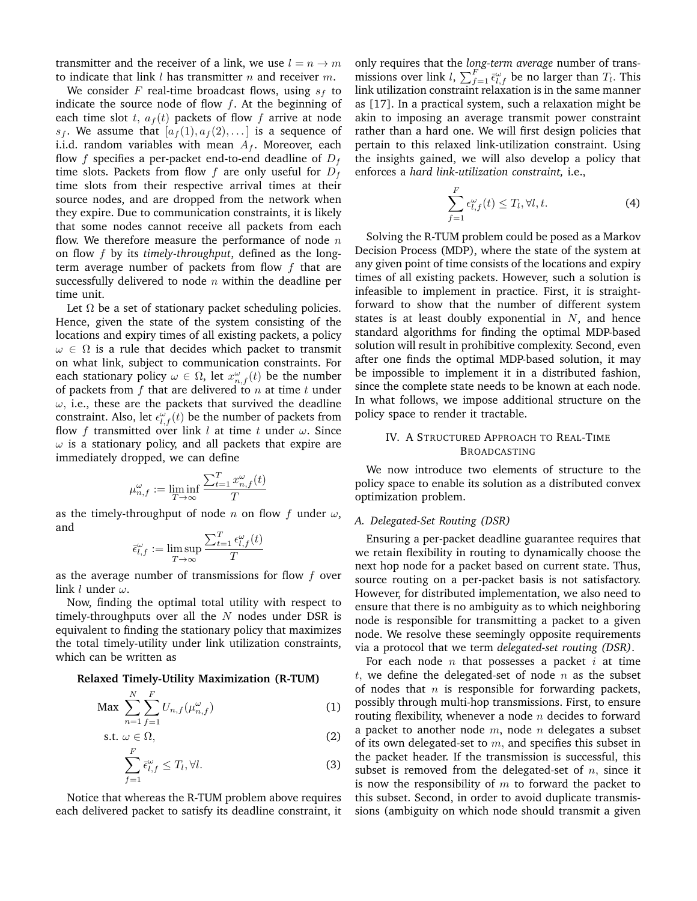transmitter and the receiver of a link, we use  $l = n \rightarrow m$ to indicate that link  $l$  has transmitter  $n$  and receiver  $m$ .

We consider F real-time broadcast flows, using  $s_f$  to indicate the source node of flow  $f$ . At the beginning of each time slot t,  $a_f(t)$  packets of flow f arrive at node  $s_f$ . We assume that  $[a_f(1), a_f(2), \ldots]$  is a sequence of i.i.d. random variables with mean  $A_f$ . Moreover, each flow f specifies a per-packet end-to-end deadline of  $D_f$ time slots. Packets from flow f are only useful for  $D_f$ time slots from their respective arrival times at their source nodes, and are dropped from the network when they expire. Due to communication constraints, it is likely that some nodes cannot receive all packets from each flow. We therefore measure the performance of node  $n$ on flow f by its *timely-throughput*, defined as the longterm average number of packets from flow  $f$  that are successfully delivered to node  $n$  within the deadline per time unit.

Let  $\Omega$  be a set of stationary packet scheduling policies. Hence, given the state of the system consisting of the locations and expiry times of all existing packets, a policy  $\omega \in \Omega$  is a rule that decides which packet to transmit on what link, subject to communication constraints. For each stationary policy  $\omega \in \Omega$ , let  $x_{n,f}^{\omega}(t)$  be the number of packets from  $f$  that are delivered to  $n$  at time  $t$  under  $\omega$ , i.e., these are the packets that survived the deadline constraint. Also, let  $\epsilon_{l,f}^{\omega}(t)$  be the number of packets from flow f transmitted over link l at time t under  $\omega$ . Since  $\omega$  is a stationary policy, and all packets that expire are immediately dropped, we can define

$$
\mu_{n,f}^{\omega} := \liminf_{T \to \infty} \frac{\sum_{t=1}^T x_{n,f}^{\omega}(t)}{T}
$$

as the timely-throughput of node n on flow f under  $\omega$ , and

$$
\bar{\epsilon}^{\omega}_{l,f} := \limsup_{T \to \infty} \frac{\sum_{t=1}^{T} \epsilon^{\omega}_{l,f}(t)}{T}
$$

as the average number of transmissions for flow  $f$  over link  $l$  under  $\omega$ .

Now, finding the optimal total utility with respect to timely-throughputs over all the  $N$  nodes under DSR is equivalent to finding the stationary policy that maximizes the total timely-utility under link utilization constraints, which can be written as

## **Relaxed Timely-Utility Maximization (R-TUM)**

$$
\text{Max} \ \sum_{n=1}^{N} \sum_{f=1}^{F} U_{n,f}(\mu_{n,f}^{\omega}) \tag{1}
$$

s.t. 
$$
\omega \in \Omega
$$
, (2)  

$$
\sum_{l}^{\infty} \bar{\epsilon}_{l,f}^{\omega} \leq T_l, \forall l.
$$

Notice that whereas the R-TUM problem above requires each delivered packet to satisfy its deadline constraint, it

 $f=1$ 

only requires that the *long-term average* number of transmissions over link l,  $\sum_{f=1}^{F} \bar{\epsilon}_{l,f}^{\omega}$  be no larger than  $T_l$ . This link utilization constraint relaxation is in the same manner as [17]. In a practical system, such a relaxation might be akin to imposing an average transmit power constraint rather than a hard one. We will first design policies that pertain to this relaxed link-utilization constraint. Using the insights gained, we will also develop a policy that enforces a *hard link-utilization constraint,* i.e.,

$$
\sum_{f=1}^{F} \epsilon_{l,f}^{\omega}(t) \le T_l, \forall l, t.
$$
 (4)

Solving the R-TUM problem could be posed as a Markov Decision Process (MDP), where the state of the system at any given point of time consists of the locations and expiry times of all existing packets. However, such a solution is infeasible to implement in practice. First, it is straightforward to show that the number of different system states is at least doubly exponential in  $N$ , and hence standard algorithms for finding the optimal MDP-based solution will result in prohibitive complexity. Second, even after one finds the optimal MDP-based solution, it may be impossible to implement it in a distributed fashion, since the complete state needs to be known at each node. In what follows, we impose additional structure on the policy space to render it tractable.

## IV. A STRUCTURED APPROACH TO REAL-TIME BROADCASTING

We now introduce two elements of structure to the policy space to enable its solution as a distributed convex optimization problem.

# *A. Delegated-Set Routing (DSR)*

Ensuring a per-packet deadline guarantee requires that we retain flexibility in routing to dynamically choose the next hop node for a packet based on current state. Thus, source routing on a per-packet basis is not satisfactory. However, for distributed implementation, we also need to ensure that there is no ambiguity as to which neighboring node is responsible for transmitting a packet to a given node. We resolve these seemingly opposite requirements via a protocol that we term *delegated-set routing (DSR)*.

For each node  $n$  that possesses a packet  $i$  at time t, we define the delegated-set of node  $n$  as the subset of nodes that  $n$  is responsible for forwarding packets, possibly through multi-hop transmissions. First, to ensure routing flexibility, whenever a node  $n$  decides to forward a packet to another node  $m$ , node  $n$  delegates a subset of its own delegated-set to  $m$ , and specifies this subset in the packet header. If the transmission is successful, this subset is removed from the delegated-set of  $n$ , since it is now the responsibility of  $m$  to forward the packet to this subset. Second, in order to avoid duplicate transmissions (ambiguity on which node should transmit a given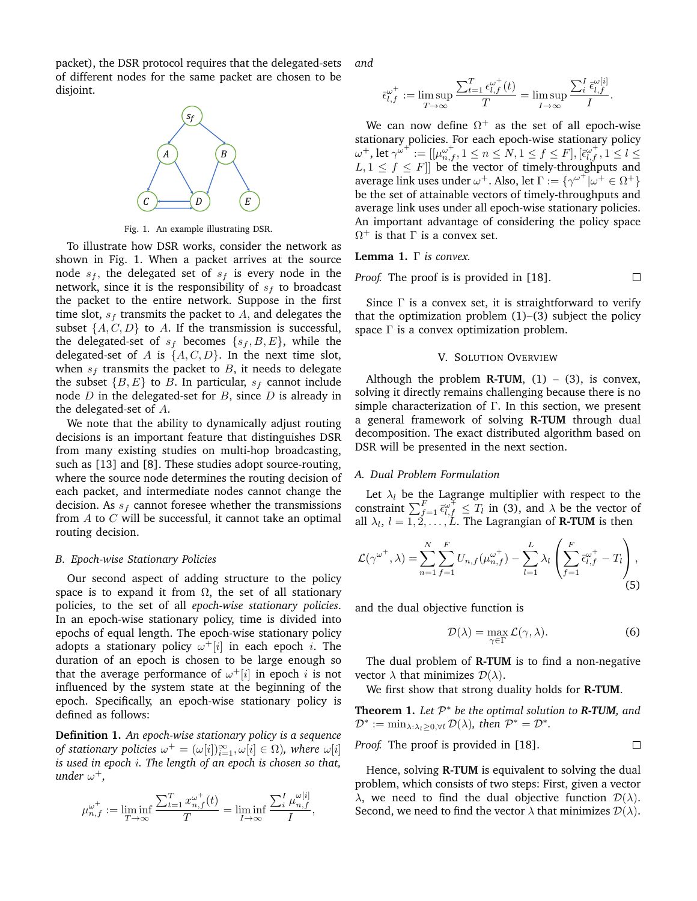packet), the DSR protocol requires that the delegated-sets of different nodes for the same packet are chosen to be disjoint.



Fig. 1. An example illustrating DSR.

To illustrate how DSR works, consider the network as shown in Fig. 1. When a packet arrives at the source node  $s_f$ , the delegated set of  $s_f$  is every node in the network, since it is the responsibility of  $s_f$  to broadcast the packet to the entire network. Suppose in the first time slot,  $s_f$  transmits the packet to A, and delegates the subset  $\{A, C, D\}$  to A. If the transmission is successful, the delegated-set of  $s_f$  becomes  $\{s_f, B, E\}$ , while the delegated-set of A is  $\{A, C, D\}$ . In the next time slot, when  $s_f$  transmits the packet to  $B$ , it needs to delegate the subset  ${B, E}$  to B. In particular,  $s_f$  cannot include node  $D$  in the delegated-set for  $B$ , since  $D$  is already in the delegated-set of A.

We note that the ability to dynamically adjust routing decisions is an important feature that distinguishes DSR from many existing studies on multi-hop broadcasting, such as [13] and [8]. These studies adopt source-routing, where the source node determines the routing decision of each packet, and intermediate nodes cannot change the decision. As  $s_f$  cannot foresee whether the transmissions from  $A$  to  $C$  will be successful, it cannot take an optimal routing decision.

#### *B. Epoch-wise Stationary Policies*

Our second aspect of adding structure to the policy space is to expand it from  $\Omega$ , the set of all stationary policies, to the set of all *epoch-wise stationary policies*. In an epoch-wise stationary policy, time is divided into epochs of equal length. The epoch-wise stationary policy adopts a stationary policy  $\omega^+ [i]$  in each epoch i. The duration of an epoch is chosen to be large enough so that the average performance of  $\omega^+[i]$  in epoch i is not influenced by the system state at the beginning of the epoch. Specifically, an epoch-wise stationary policy is defined as follows:

**Definition 1.** *An epoch-wise stationary policy is a sequence of stationary policies*  $\omega^+ = (\omega[i])_{i=1}^{\infty}, \omega[i] \in \Omega$ *), where*  $\omega[i]$ *is used in epoch* i*. The length of an epoch is chosen so that, under* ω +*,*

$$
\mu_{n,f}^{\omega^+} := \liminf_{T \to \infty} \frac{\sum_{t=1}^T x_{n,f}^{\omega^+}(t)}{T} = \liminf_{I \to \infty} \frac{\sum_{i}^I \mu_{n,f}^{\omega[i]}}{I},
$$

*and*

$$
\bar{\epsilon}_{l,f}^{\omega^+}:=\limsup_{T\to\infty}\frac{\sum_{t=1}^T\epsilon_{l,f}^{\omega^+}(t)}{T}=\limsup_{I\to\infty}\frac{\sum_i^I\epsilon_{l,f}^{\omega[i]}}{I}.
$$

We can now define  $\Omega^+$  as the set of all epoch-wise stationary policies. For each epoch-wise stationary policy  $\omega^{+},$  let  $\gamma^{\omega^{+}}:=[[\mu^{\omega^{+}}_{n,f},1\leq n\leq N,1\leq f\leq F],[\bar{\epsilon}^{\omega^{+}}_{l,f},1\leq l\leq n]$  $L, 1 \leq f \leq F$ || be the vector of timely-throughputs and average link uses under  $\omega^+$ . Also, let  $\Gamma := \{ \gamma^{\omega^+} | \omega^+ \in \Omega^+ \}$ be the set of attainable vectors of timely-throughputs and average link uses under all epoch-wise stationary policies. An important advantage of considering the policy space  $\Omega^+$  is that  $\Gamma$  is a convex set.

**Lemma 1.** Γ *is convex.*

*Proof.* The proof is is provided in [18]. 
$$
\Box
$$

Since  $\Gamma$  is a convex set, it is straightforward to verify that the optimization problem  $(1)$ – $(3)$  subject the policy space  $\Gamma$  is a convex optimization problem.

#### V. SOLUTION OVERVIEW

Although the problem  $R-TUM$ , (1) – (3), is convex, solving it directly remains challenging because there is no simple characterization of Γ. In this section, we present a general framework of solving **R-TUM** through dual decomposition. The exact distributed algorithm based on DSR will be presented in the next section.

## *A. Dual Problem Formulation*

Let  $\lambda_l$  be the Lagrange multiplier with respect to the constraint  $\sum_{f=1}^{F} \bar{\epsilon}_{l,f}^{\omega^{\mp}} \leq T_l$  in (3), and  $\lambda$  be the vector of all  $\lambda_l$ ,  $l = 1, 2, \ldots, L$ . The Lagrangian of **R-TUM** is then

$$
\mathcal{L}(\gamma^{\omega^+}, \lambda) = \sum_{n=1}^{N} \sum_{f=1}^{F} U_{n,f}(\mu_{n,f}^{\omega^+}) - \sum_{l=1}^{L} \lambda_l \left( \sum_{f=1}^{F} \bar{\epsilon}_{l,f}^{\omega^+} - T_l \right),
$$
\n(5)

and the dual objective function is

$$
\mathcal{D}(\lambda) = \max_{\gamma \in \Gamma} \mathcal{L}(\gamma, \lambda).
$$
 (6)

The dual problem of **R-TUM** is to find a non-negative vector  $\lambda$  that minimizes  $\mathcal{D}(\lambda)$ .

We first show that strong duality holds for **R-TUM**.

**Theorem 1.** *Let* P <sup>∗</sup> *be the optimal solution to R-TUM, and*  $\mathcal{D}^* := \min_{\lambda: \lambda_l \geq 0, \forall l} \mathcal{D}(\lambda)$ , then  $\mathcal{P}^* = \mathcal{D}^*$ .

*Proof.* The proof is provided in [18]. 
$$
\Box
$$

Hence, solving **R-TUM** is equivalent to solving the dual problem, which consists of two steps: First, given a vector  $\lambda$ , we need to find the dual objective function  $\mathcal{D}(\lambda)$ . Second, we need to find the vector  $\lambda$  that minimizes  $\mathcal{D}(\lambda)$ .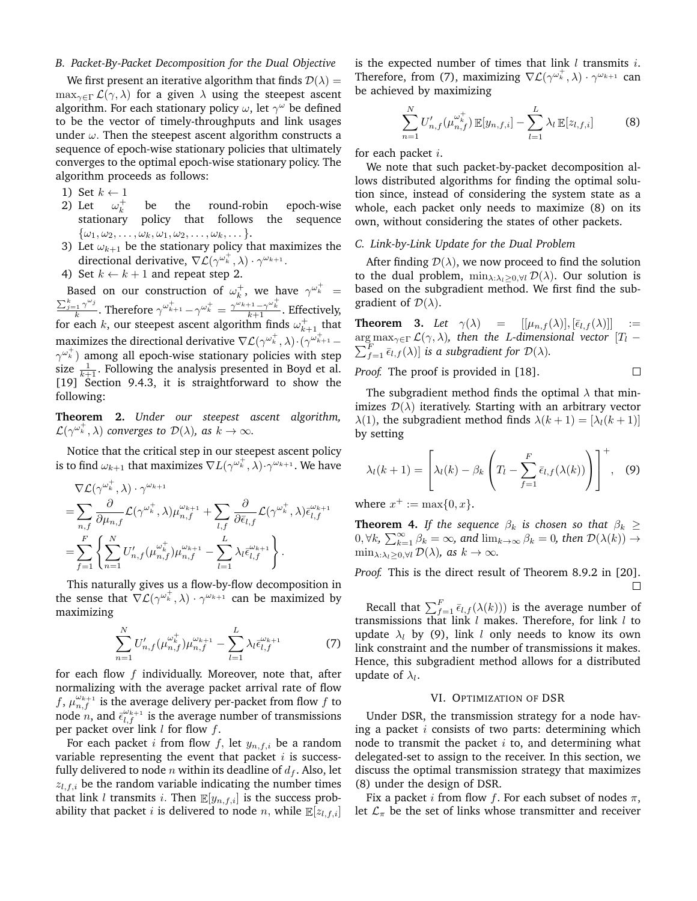## *B. Packet-By-Packet Decomposition for the Dual Objective*

We first present an iterative algorithm that finds  $\mathcal{D}(\lambda) =$  $\max_{\gamma \in \Gamma} \mathcal{L}(\gamma, \lambda)$  for a given  $\lambda$  using the steepest ascent algorithm. For each stationary policy  $\omega$ , let  $\gamma^{\omega}$  be defined to be the vector of timely-throughputs and link usages under  $\omega$ . Then the steepest ascent algorithm constructs a sequence of epoch-wise stationary policies that ultimately converges to the optimal epoch-wise stationary policy. The algorithm proceeds as follows:

- 1) Set  $k \leftarrow 1$
- 2) Let  $\omega_k^+$ be the round-robin epoch-wise stationary policy that follows the sequence  $\{\omega_1,\omega_2,\ldots,\omega_k,\omega_1,\omega_2,\ldots,\omega_k,\ldots\}.$
- 3) Let  $\omega_{k+1}$  be the stationary policy that maximizes the directional derivative,  $\nabla \mathcal{L}(\gamma^{\omega_k^+}, \lambda) \cdot \gamma^{\omega_{k+1}}$ .
- 4) Set  $k \leftarrow k + 1$  and repeat step 2.

Based on our construction of  $\omega_k^+$ , we have  $\gamma^{\omega_k^+}$  =  $\sum_{j=1}^k \gamma^{\omega_j}$  $\frac{k_1\gamma^{\omega_j}}{k}.$  Therefore  $\gamma^{\omega^+_{k+1}}-\gamma^{\omega^+_{k}}=\frac{\gamma^{\omega_{k+1}}-\gamma^{\omega^+_{k}}}{k+1}.$  Effectively, for each  $k$ , our steepest ascent algorithm finds  $\omega_{k+1}^+$  that maximizes the directional derivative  $\nabla\mathcal{L}(\gamma^{\omega_k^+},\lambda)\cdot(\gamma^{\omega_{k+1}^+} \gamma^{\omega_k^+})$  among all epoch-wise stationary policies with step size  $\frac{1}{k+1}$ . Following the analysis presented in Boyd et al. [19] Section 9.4.3, it is straightforward to show the following:

**Theorem 2.** *Under our steepest ascent algorithm,*  $\mathcal{L}(\gamma^{\omega_k^+}, \lambda)$  converges to  $\mathcal{D}(\lambda)$ , as  $k \to \infty$ .

Notice that the critical step in our steepest ascent policy is to find  $\omega_{k+1}$  that maximizes  $\nabla L(\gamma^{\omega^+_k},\tilde{\lambda})\!\cdot\!\gamma^{\omega_{k+1}}.$  We have

$$
\nabla \mathcal{L}(\gamma^{\omega_k^+}, \lambda) \cdot \gamma^{\omega_{k+1}} \n= \sum_{n,f} \frac{\partial}{\partial \mu_{n,f}} \mathcal{L}(\gamma^{\omega_k^+}, \lambda) \mu_{n,f}^{\omega_{k+1}} + \sum_{l,f} \frac{\partial}{\partial \bar{\epsilon}_{l,f}} \mathcal{L}(\gamma^{\omega_k^+}, \lambda) \bar{\epsilon}_{l,f}^{\omega_{k+1}} \n= \sum_{f=1}^F \left\{ \sum_{n=1}^N U'_{n,f}(\mu_{n,f}^{\omega_k^+}) \mu_{n,f}^{\omega_{k+1}} - \sum_{l=1}^L \lambda_l \bar{\epsilon}_{l,f}^{\omega_{k+1}} \right\}.
$$

This naturally gives us a flow-by-flow decomposition in the sense that  $\nabla \mathcal{L}(\gamma^{\omega_k^+}, \lambda) \cdot \gamma^{\omega_{k+1}}$  can be maximized by maximizing

$$
\sum_{n=1}^{N} U'_{n,f}(\mu_{n,f}^{\omega_k^+})\mu_{n,f}^{\omega_{k+1}} - \sum_{l=1}^{L} \lambda_l \bar{\epsilon}_{l,f}^{\omega_{k+1}}
$$
(7)

for each flow  $f$  individually. Moreover, note that, after normalizing with the average packet arrival rate of flow f,  $\mu_{n,f}^{\omega_{k+1}}$  is the average delivery per-packet from flow f to node *n*, and  $\bar{\epsilon}_{l,f}^{\omega_{k+1}}$  is the average number of transmissions per packet over link  $l$  for flow  $f$ .

For each packet *i* from flow *f*, let  $y_{n,f,i}$  be a random variable representing the event that packet  $i$  is successfully delivered to node *n* within its deadline of  $d_f$ . Also, let  $z_{l,f,i}$  be the random variable indicating the number times that link *l* transmits *i*. Then  $\mathbb{E}[y_{n,f,i}]$  is the success probability that packet *i* is delivered to node *n*, while  $\mathbb{E}[z_{l,f,i}]$  is the expected number of times that link  $l$  transmits  $i$ . Therefore, from (7), maximizing  $\nabla \mathcal{L}(\gamma^{\omega_k^+}, \lambda) \cdot \gamma^{\omega_{k+1}}$  can be achieved by maximizing

$$
\sum_{n=1}^{N} U'_{n,f}(\mu_{n,f}^{\omega_k^+}) \mathbb{E}[y_{n,f,i}] - \sum_{l=1}^{L} \lambda_l \mathbb{E}[z_{l,f,i}] \tag{8}
$$

for each packet  $i$ .

We note that such packet-by-packet decomposition allows distributed algorithms for finding the optimal solution since, instead of considering the system state as a whole, each packet only needs to maximize (8) on its own, without considering the states of other packets.

## *C. Link-by-Link Update for the Dual Problem*

After finding  $\mathcal{D}(\lambda)$ , we now proceed to find the solution to the dual problem,  $\min_{\lambda: \lambda_i > 0, \forall l} \mathcal{D}(\lambda)$ . Our solution is based on the subgradient method. We first find the subgradient of  $\mathcal{D}(\lambda)$ .

**Theorem 3.** Let  $\gamma(\lambda)$  =  $[[\mu_{n,f}(\lambda)],[\bar{\epsilon}_{l,f}(\lambda)]]$  :=  $\arg \max_{\gamma \in \Gamma} \mathcal{L}(\gamma, \lambda)$ , then the *L*-dimensional vector  $[T_l - \lambda]$  $\sum_{f=1}^{F} \bar{\epsilon}_{l,f}(\lambda) ]$  *is a subgradient for*  $\mathcal{D}(\lambda)$ *.* 

*Proof.* The proof is provided in [18].  $\Box$ 

The subgradient method finds the optimal  $\lambda$  that minimizes  $\mathcal{D}(\lambda)$  iteratively. Starting with an arbitrary vector  $\lambda(1)$ , the subgradient method finds  $\lambda(k+1) = [\lambda_l(k+1)]$ by setting

$$
\lambda_l(k+1) = \left[\lambda_l(k) - \beta_k \left(T_l - \sum_{f=1}^F \bar{\epsilon}_{l,f}(\lambda(k))\right)\right]^+, \quad (9)
$$

where  $x^+ := \max\{0, x\}.$ 

**Theorem 4.** *If the sequence*  $\beta_k$  *is chosen so that*  $\beta_k \geq$  $0, \forall k, \sum_{k=1}^{\infty} \beta_k = \infty$ , and  $\lim_{k \to \infty} \beta_k = 0$ , then  $\mathcal{D}(\lambda(k)) \to$  $\min_{\lambda:\lambda_i\geq 0,\forall l} \mathcal{D}(\lambda)$ *, as*  $k\to\infty$ *.* 

*Proof.* This is the direct result of Theorem 8.9.2 in [20].  $\Box$ 

Recall that  $\sum_{f=1}^{F} \bar{\epsilon}_{l,f}(\lambda(k)))$  is the average number of transmissions that link  $l$  makes. Therefore, for link  $l$  to update  $\lambda_l$  by (9), link l only needs to know its own link constraint and the number of transmissions it makes. Hence, this subgradient method allows for a distributed update of  $\lambda_l$ .

#### VI. OPTIMIZATION OF DSR

Under DSR, the transmission strategy for a node having a packet  $i$  consists of two parts: determining which node to transmit the packet  $i$  to, and determining what delegated-set to assign to the receiver. In this section, we discuss the optimal transmission strategy that maximizes (8) under the design of DSR.

Fix a packet *i* from flow *f*. For each subset of nodes  $\pi$ , let  $\mathcal{L}_{\pi}$  be the set of links whose transmitter and receiver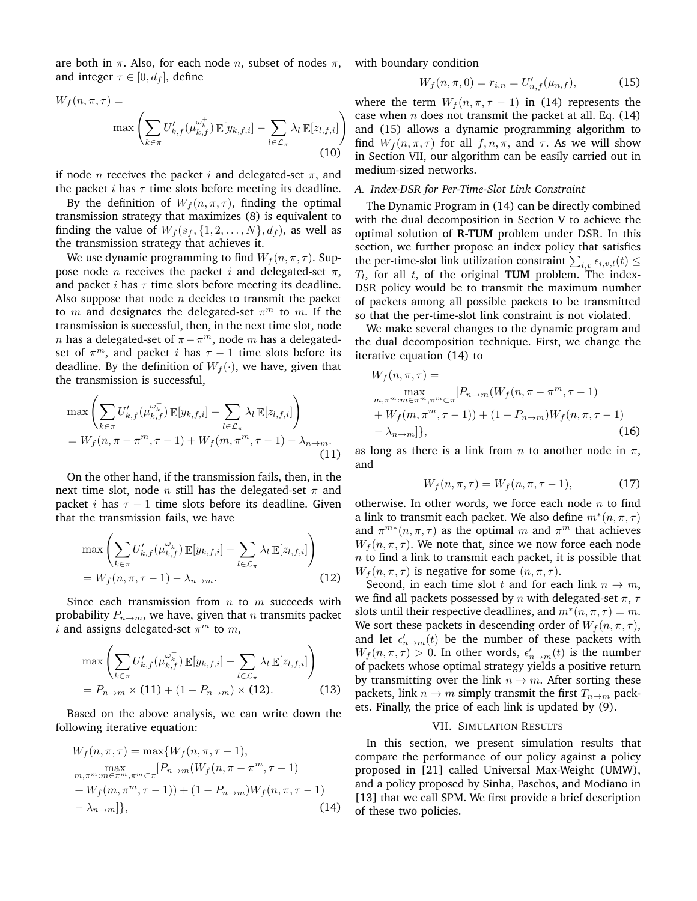are both in  $\pi$ . Also, for each node *n*, subset of nodes  $\pi$ , and integer  $\tau \in [0, d_f]$ , define

$$
W_f(n, \pi, \tau) = \max \left( \sum_{k \in \pi} U'_{k, f}(\mu_{k, f}^{\omega_k^+}) \mathbb{E}[y_{k, f, i}] - \sum_{l \in \mathcal{L}_{\pi}} \lambda_l \mathbb{E}[z_{l, f, i}] \right)
$$
(10)

if node *n* receives the packet *i* and delegated-set  $\pi$ , and the packet *i* has  $\tau$  time slots before meeting its deadline.

By the definition of  $W_f(n, \pi, \tau)$ , finding the optimal transmission strategy that maximizes (8) is equivalent to finding the value of  $W_f(s_f, \{1, 2, \ldots, N\}, d_f)$ , as well as the transmission strategy that achieves it.

We use dynamic programming to find  $W_f(n, \pi, \tau)$ . Suppose node *n* receives the packet *i* and delegated-set  $\pi$ , and packet *i* has  $\tau$  time slots before meeting its deadline. Also suppose that node  $n$  decides to transmit the packet to m and designates the delegated-set  $\pi^m$  to m. If the transmission is successful, then, in the next time slot, node n has a delegated-set of  $\pi - \pi^m$ , node m has a delegatedset of  $\pi^m$ , and packet *i* has  $\tau - 1$  time slots before its deadline. By the definition of  $W_f(\cdot)$ , we have, given that the transmission is successful,

$$
\max\left(\sum_{k\in\pi}U'_{k,f}(\mu_{k,f}^{\omega_k^+})\mathbb{E}[y_{k,f,i}] - \sum_{l\in\mathcal{L}_{\pi}}\lambda_l\mathbb{E}[z_{l,f,i}]\right)
$$
  
=  $W_f(n, \pi - \pi^m, \tau - 1) + W_f(m, \pi^m, \tau - 1) - \lambda_{n\to m}.$  (11)

On the other hand, if the transmission fails, then, in the next time slot, node *n* still has the delegated-set  $\pi$  and packet *i* has  $\tau - 1$  time slots before its deadline. Given that the transmission fails, we have

$$
\max\left(\sum_{k\in\pi} U'_{k,f}(\mu_{k,f}^{\omega_k^+}) \mathbb{E}[y_{k,f,i}] - \sum_{l\in\mathcal{L}_{\pi}} \lambda_l \mathbb{E}[z_{l,f,i}] \right)
$$
  
=  $W_f(n, \pi, \tau - 1) - \lambda_{n\to m}.$  (12)

Since each transmission from  $n$  to  $m$  succeeds with probability  $P_{n\to m}$ , we have, given that *n* transmits packet i and assigns delegated-set  $\pi^m$  to  $m$ ,

$$
\max \left( \sum_{k \in \pi} U'_{k,f}(\mu_{k,f}^{\omega_k^+}) \mathbb{E}[y_{k,f,i}] - \sum_{l \in \mathcal{L}_{\pi}} \lambda_l \mathbb{E}[z_{l,f,i}] \right)
$$
  
=  $P_{n \to m} \times (11) + (1 - P_{n \to m}) \times (12).$  (13)

Based on the above analysis, we can write down the following iterative equation:

$$
W_f(n, \pi, \tau) = \max\{W_f(n, \pi, \tau - 1),
$$
  
\n
$$
\max_{m, \pi^m : m \in \pi^m, \pi^m \subset \pi} [P_{n \to m}(W_f(n, \pi - \pi^m, \tau - 1)) + W_f(m, \pi^m, \tau - 1)] + (1 - P_{n \to m})W_f(n, \pi, \tau - 1) - \lambda_{n \to m}]\},
$$
\n(14)

with boundary condition

$$
W_f(n, \pi, 0) = r_{i,n} = U'_{n,f}(\mu_{n,f}),
$$
\n(15)

where the term  $W_f(n, \pi, \tau - 1)$  in (14) represents the case when  $n$  does not transmit the packet at all. Eq. (14) and (15) allows a dynamic programming algorithm to find  $W_f(n, \pi, \tau)$  for all  $f, n, \pi$ , and  $\tau$ . As we will show in Section VII, our algorithm can be easily carried out in medium-sized networks.

## *A. Index-DSR for Per-Time-Slot Link Constraint*

The Dynamic Program in (14) can be directly combined with the dual decomposition in Section V to achieve the optimal solution of **R-TUM** problem under DSR. In this section, we further propose an index policy that satisfies the per-time-slot link utilization constraint  $\sum_{i,v} \epsilon_{i,v,l}(t) \leq$  $T_l$ , for all  $t$ , of the original **TUM** problem. The index-DSR policy would be to transmit the maximum number of packets among all possible packets to be transmitted so that the per-time-slot link constraint is not violated.

We make several changes to the dynamic program and the dual decomposition technique. First, we change the iterative equation (14) to

$$
W_f(n, \pi, \tau) =
$$
  
\n
$$
\max_{m, \pi^m : m \in \pi^m, \pi^m \subset \pi} [P_{n \to m}(W_f(n, \pi - \pi^m, \tau - 1)) + W_f(m, \pi^m, \tau - 1)] + (1 - P_{n \to m})W_f(n, \pi, \tau - 1) - \lambda_{n \to m}],
$$
\n(16)

as long as there is a link from *n* to another node in  $\pi$ , and

$$
W_f(n, \pi, \tau) = W_f(n, \pi, \tau - 1),
$$
 (17)

otherwise. In other words, we force each node  $n$  to find a link to transmit each packet. We also define  $m^*(n, \pi, \tau)$ and  $\pi^{m*}(n, \pi, \tau)$  as the optimal m and  $\pi^m$  that achieves  $W_f(n, \pi, \tau)$ . We note that, since we now force each node  $n$  to find a link to transmit each packet, it is possible that  $W_f(n, \pi, \tau)$  is negative for some  $(n, \pi, \tau)$ .

Second, in each time slot t and for each link  $n \to m$ , we find all packets possessed by n with delegated-set  $\pi$ ,  $\tau$ slots until their respective deadlines, and  $m^*(n, \pi, \tau) = m$ . We sort these packets in descending order of  $W_f(n, \pi, \tau)$ , and let  $\epsilon'_{n\to m}(t)$  be the number of these packets with  $W_f(n, \pi, \tau) > 0$ . In other words,  $\epsilon'_{n \to m}(t)$  is the number of packets whose optimal strategy yields a positive return by transmitting over the link  $n \to m$ . After sorting these packets, link  $n \to m$  simply transmit the first  $T_{n\to m}$  packets. Finally, the price of each link is updated by (9).

#### VII. SIMULATION RESULTS

In this section, we present simulation results that compare the performance of our policy against a policy proposed in [21] called Universal Max-Weight (UMW), and a policy proposed by Sinha, Paschos, and Modiano in [13] that we call SPM. We first provide a brief description of these two policies.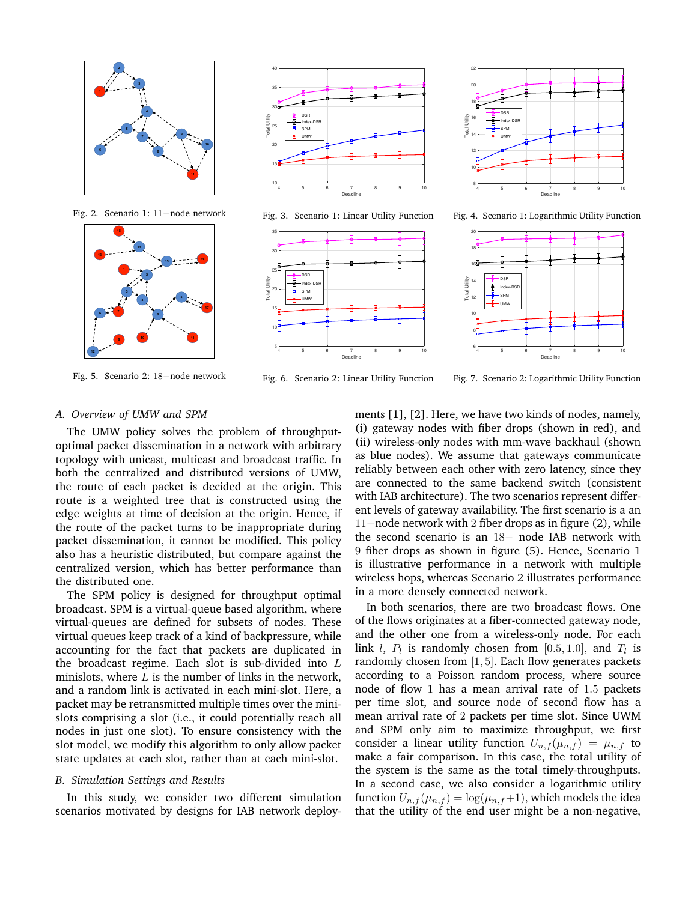

Fig. 2. Scenario 1: 11−node network



Fig. 5. Scenario 2: 18−node network



Fig. 3. Scenario 1: Linear Utility Function





Fig. 4. Scenario 1: Logarithmic Utility Function



Fig. 6. Scenario 2: Linear Utility Function

Fig. 7. Scenario 2: Logarithmic Utility Function

### *A. Overview of UMW and SPM*

The UMW policy solves the problem of throughputoptimal packet dissemination in a network with arbitrary topology with unicast, multicast and broadcast traffic. In both the centralized and distributed versions of UMW, the route of each packet is decided at the origin. This route is a weighted tree that is constructed using the edge weights at time of decision at the origin. Hence, if the route of the packet turns to be inappropriate during packet dissemination, it cannot be modified. This policy also has a heuristic distributed, but compare against the centralized version, which has better performance than the distributed one.

The SPM policy is designed for throughput optimal broadcast. SPM is a virtual-queue based algorithm, where virtual-queues are defined for subsets of nodes. These virtual queues keep track of a kind of backpressure, while accounting for the fact that packets are duplicated in the broadcast regime. Each slot is sub-divided into  $L$ minislots, where  $L$  is the number of links in the network, and a random link is activated in each mini-slot. Here, a packet may be retransmitted multiple times over the minislots comprising a slot (i.e., it could potentially reach all nodes in just one slot). To ensure consistency with the slot model, we modify this algorithm to only allow packet state updates at each slot, rather than at each mini-slot.

#### *B. Simulation Settings and Results*

In this study, we consider two different simulation scenarios motivated by designs for IAB network deployments [1], [2]. Here, we have two kinds of nodes, namely, (i) gateway nodes with fiber drops (shown in red), and (ii) wireless-only nodes with mm-wave backhaul (shown as blue nodes). We assume that gateways communicate reliably between each other with zero latency, since they are connected to the same backend switch (consistent with IAB architecture). The two scenarios represent different levels of gateway availability. The first scenario is a an 11−node network with 2 fiber drops as in figure (2), while the second scenario is an 18− node IAB network with 9 fiber drops as shown in figure (5). Hence, Scenario 1 is illustrative performance in a network with multiple wireless hops, whereas Scenario 2 illustrates performance in a more densely connected network.

In both scenarios, there are two broadcast flows. One of the flows originates at a fiber-connected gateway node, and the other one from a wireless-only node. For each link *l*,  $P_l$  is randomly chosen from  $[0.5, 1.0]$ , and  $T_l$  is randomly chosen from  $[1, 5]$ . Each flow generates packets according to a Poisson random process, where source node of flow 1 has a mean arrival rate of 1.5 packets per time slot, and source node of second flow has a mean arrival rate of 2 packets per time slot. Since UWM and SPM only aim to maximize throughput, we first consider a linear utility function  $U_{n,f}(\mu_{n,f}) = \mu_{n,f}$  to make a fair comparison. In this case, the total utility of the system is the same as the total timely-throughputs. In a second case, we also consider a logarithmic utility function  $U_{n,f}(\mu_{n,f}) = \log(\mu_{n,f}+1)$ , which models the idea that the utility of the end user might be a non-negative,